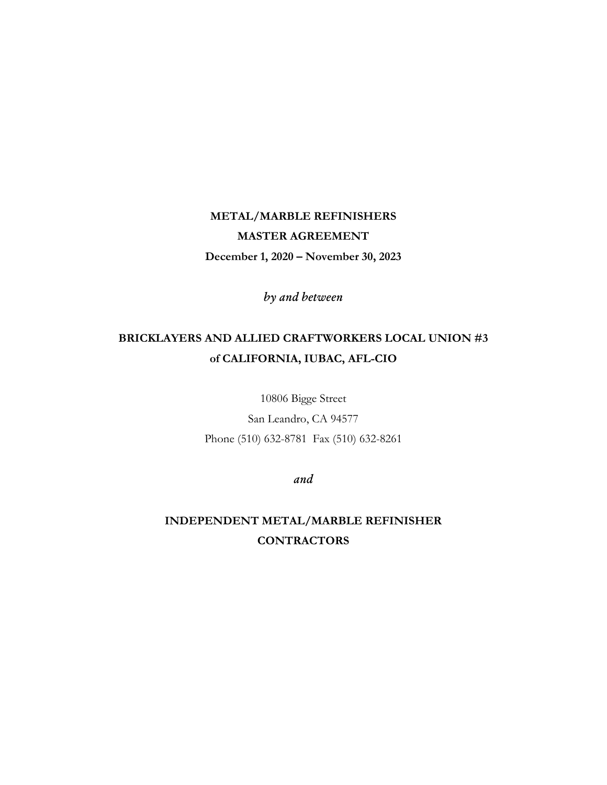# **METAL/MARBLE REFINISHERS MASTER AGREEMENT December 1, 2020 – November 30, 2023**

*by and between*

# **BRICKLAYERS AND ALLIED CRAFTWORKERS LOCAL UNION #3 of CALIFORNIA, IUBAC, AFL-CIO**

10806 Bigge Street San Leandro, CA 94577

Phone (510) 632-8781 Fax (510) 632-8261

*and*

**INDEPENDENT METAL/MARBLE REFINISHER CONTRACTORS**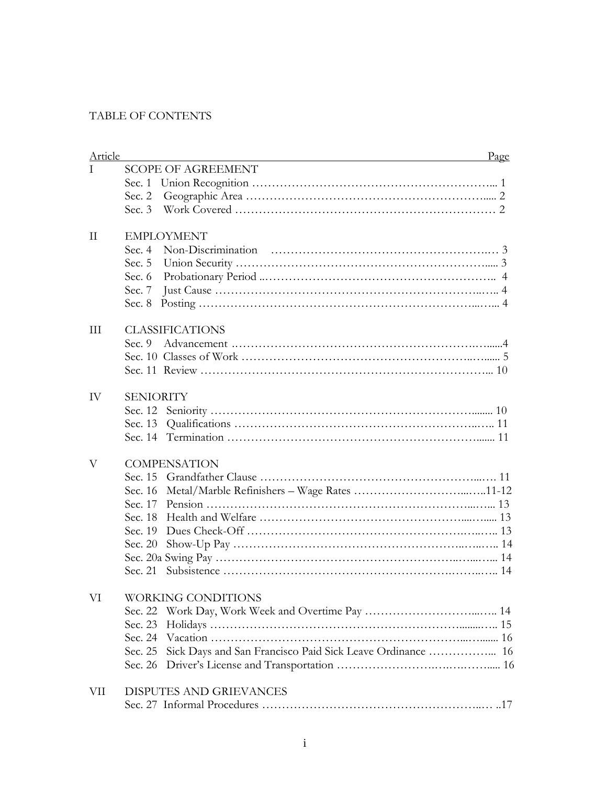# TABLE OF CONTENTS

| <b>Article</b> | Page<br><u> 1980 - Johann Barbara, martin amerikan basal dan berasal dalam basal dalam basal dalam basal dalam basal dala</u> |
|----------------|-------------------------------------------------------------------------------------------------------------------------------|
| T              | <b>SCOPE OF AGREEMENT</b>                                                                                                     |
|                |                                                                                                                               |
|                |                                                                                                                               |
|                |                                                                                                                               |
| $\rm II$       | <b>EMPLOYMENT</b>                                                                                                             |
|                |                                                                                                                               |
|                | Sec. $5$                                                                                                                      |
|                | Sec. $6$                                                                                                                      |
|                | Sec. $7$                                                                                                                      |
|                | Sec. 8                                                                                                                        |
| III            | <b>CLASSIFICATIONS</b>                                                                                                        |
|                | Sec. 9                                                                                                                        |
|                |                                                                                                                               |
|                |                                                                                                                               |
| IV             | <b>SENIORITY</b>                                                                                                              |
|                |                                                                                                                               |
|                |                                                                                                                               |
|                |                                                                                                                               |
| V              | <b>COMPENSATION</b>                                                                                                           |
|                |                                                                                                                               |
|                | Sec. 16                                                                                                                       |
|                |                                                                                                                               |
|                |                                                                                                                               |
|                |                                                                                                                               |
|                | Sec. 20                                                                                                                       |
|                |                                                                                                                               |
|                |                                                                                                                               |
| VI             | WORKING CONDITIONS                                                                                                            |
|                | Sec. 22                                                                                                                       |
|                | Sec. 23                                                                                                                       |
|                | Sec. 24                                                                                                                       |
|                | Sec. 25                                                                                                                       |
|                | Sec. 26                                                                                                                       |
| VII            | DISPUTES AND GRIEVANCES                                                                                                       |
|                |                                                                                                                               |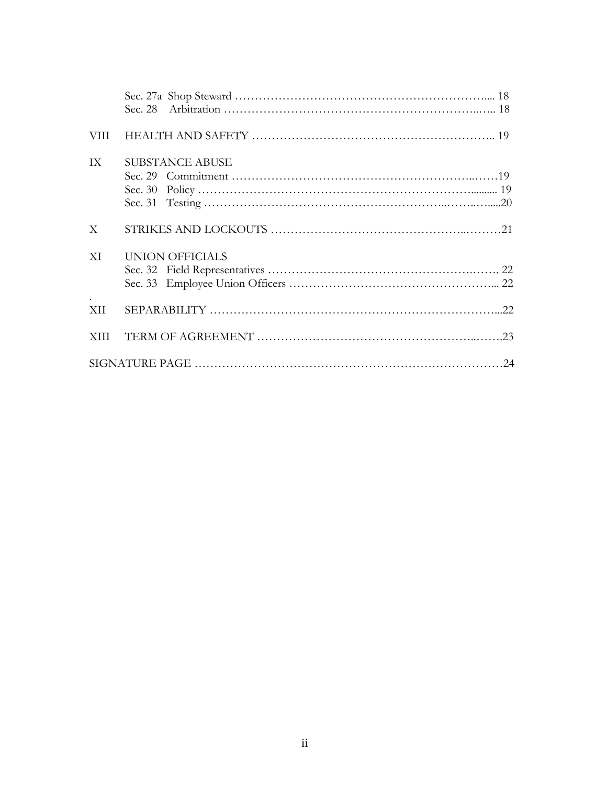| VIII        |                        |  |
|-------------|------------------------|--|
| IX          | <b>SUBSTANCE ABUSE</b> |  |
| X           |                        |  |
| XI          | <b>UNION OFFICIALS</b> |  |
| XII.        |                        |  |
| <b>XIII</b> |                        |  |
|             |                        |  |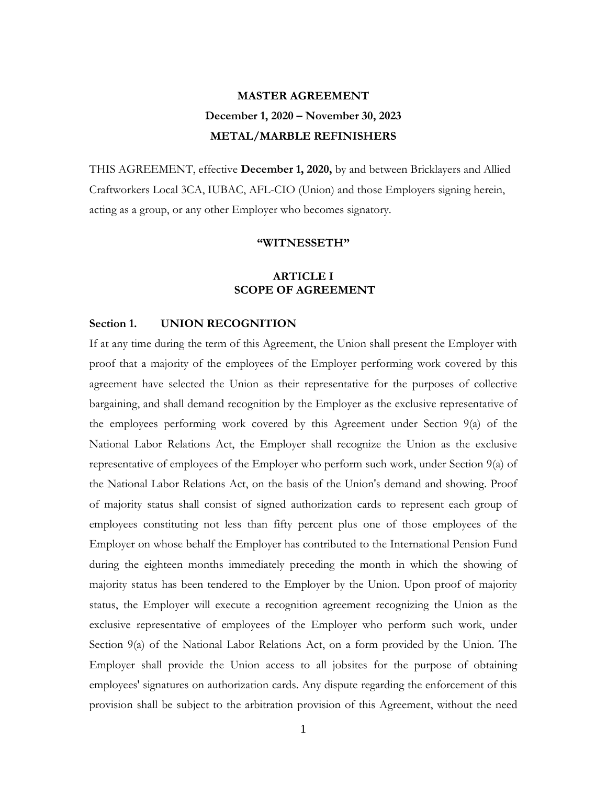# **MASTER AGREEMENT December 1, 2020 – November 30, 2023 METAL/MARBLE REFINISHERS**

THIS AGREEMENT, effective **December 1, 2020,** by and between Bricklayers and Allied Craftworkers Local 3CA, IUBAC, AFL-CIO (Union) and those Employers signing herein, acting as a group, or any other Employer who becomes signatory.

#### **"WITNESSETH"**

# **ARTICLE I SCOPE OF AGREEMENT**

### **Section 1. UNION RECOGNITION**

If at any time during the term of this Agreement, the Union shall present the Employer with proof that a majority of the employees of the Employer performing work covered by this agreement have selected the Union as their representative for the purposes of collective bargaining, and shall demand recognition by the Employer as the exclusive representative of the employees performing work covered by this Agreement under Section 9(a) of the National Labor Relations Act, the Employer shall recognize the Union as the exclusive representative of employees of the Employer who perform such work, under Section 9(a) of the National Labor Relations Act, on the basis of the Union's demand and showing. Proof of majority status shall consist of signed authorization cards to represent each group of employees constituting not less than fifty percent plus one of those employees of the Employer on whose behalf the Employer has contributed to the International Pension Fund during the eighteen months immediately preceding the month in which the showing of majority status has been tendered to the Employer by the Union. Upon proof of majority status, the Employer will execute a recognition agreement recognizing the Union as the exclusive representative of employees of the Employer who perform such work, under Section 9(a) of the National Labor Relations Act, on a form provided by the Union. The Employer shall provide the Union access to all jobsites for the purpose of obtaining employees' signatures on authorization cards. Any dispute regarding the enforcement of this provision shall be subject to the arbitration provision of this Agreement, without the need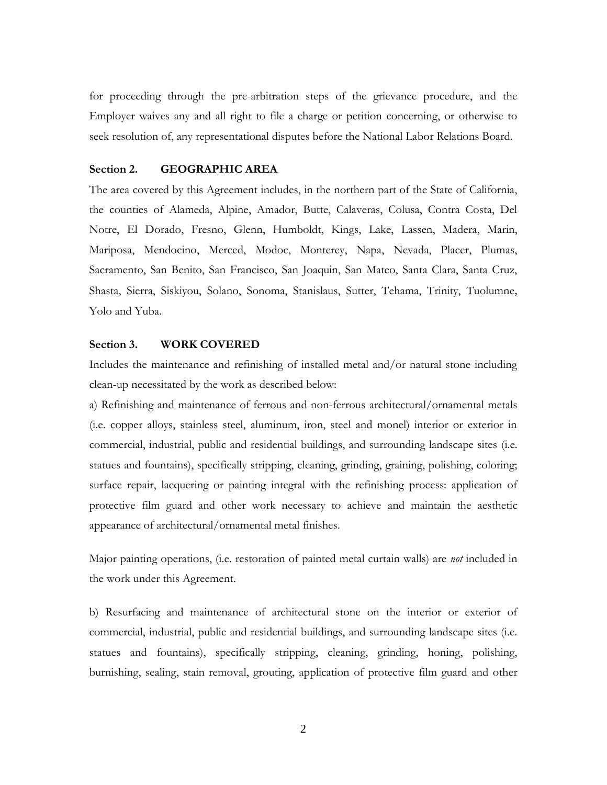for proceeding through the pre-arbitration steps of the grievance procedure, and the Employer waives any and all right to file a charge or petition concerning, or otherwise to seek resolution of, any representational disputes before the National Labor Relations Board.

## **Section 2. GEOGRAPHIC AREA**

The area covered by this Agreement includes, in the northern part of the State of California, the counties of Alameda, Alpine, Amador, Butte, Calaveras, Colusa, Contra Costa, Del Notre, El Dorado, Fresno, Glenn, Humboldt, Kings, Lake, Lassen, Madera, Marin, Mariposa, Mendocino, Merced, Modoc, Monterey, Napa, Nevada, Placer, Plumas, Sacramento, San Benito, San Francisco, San Joaquin, San Mateo, Santa Clara, Santa Cruz, Shasta, Sierra, Siskiyou, Solano, Sonoma, Stanislaus, Sutter, Tehama, Trinity, Tuolumne, Yolo and Yuba.

# **Section 3. WORK COVERED**

Includes the maintenance and refinishing of installed metal and/or natural stone including clean-up necessitated by the work as described below:

a) Refinishing and maintenance of ferrous and non-ferrous architectural/ornamental metals (i.e. copper alloys, stainless steel, aluminum, iron, steel and monel) interior or exterior in commercial, industrial, public and residential buildings, and surrounding landscape sites (i.e. statues and fountains), specifically stripping, cleaning, grinding, graining, polishing, coloring; surface repair, lacquering or painting integral with the refinishing process: application of protective film guard and other work necessary to achieve and maintain the aesthetic appearance of architectural/ornamental metal finishes.

Major painting operations, (i.e. restoration of painted metal curtain walls) are *not* included in the work under this Agreement.

b) Resurfacing and maintenance of architectural stone on the interior or exterior of commercial, industrial, public and residential buildings, and surrounding landscape sites (i.e. statues and fountains), specifically stripping, cleaning, grinding, honing, polishing, burnishing, sealing, stain removal, grouting, application of protective film guard and other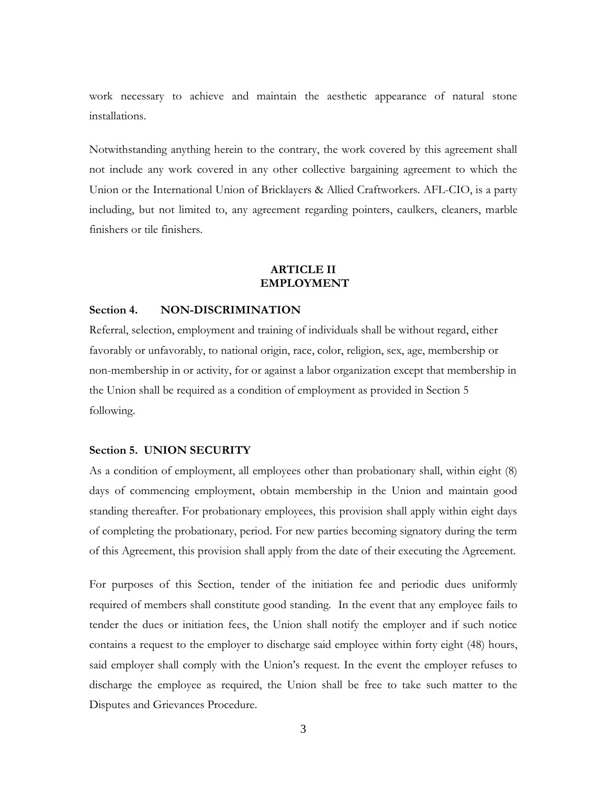work necessary to achieve and maintain the aesthetic appearance of natural stone installations.

Notwithstanding anything herein to the contrary, the work covered by this agreement shall not include any work covered in any other collective bargaining agreement to which the Union or the International Union of Bricklayers & Allied Craftworkers. AFL-CIO, is a party including, but not limited to, any agreement regarding pointers, caulkers, cleaners, marble finishers or tile finishers.

# **ARTICLE II EMPLOYMENT**

# **Section 4. NON-DISCRIMINATION**

Referral, selection, employment and training of individuals shall be without regard, either favorably or unfavorably, to national origin, race, color, religion, sex, age, membership or non-membership in or activity, for or against a labor organization except that membership in the Union shall be required as a condition of employment as provided in Section 5 following.

#### **Section 5. UNION SECURITY**

As a condition of employment, all employees other than probationary shall, within eight (8) days of commencing employment, obtain membership in the Union and maintain good standing thereafter. For probationary employees, this provision shall apply within eight days of completing the probationary, period. For new parties becoming signatory during the term of this Agreement, this provision shall apply from the date of their executing the Agreement.

For purposes of this Section, tender of the initiation fee and periodic dues uniformly required of members shall constitute good standing. In the event that any employee fails to tender the dues or initiation fees, the Union shall notify the employer and if such notice contains a request to the employer to discharge said employee within forty eight (48) hours, said employer shall comply with the Union's request. In the event the employer refuses to discharge the employee as required, the Union shall be free to take such matter to the Disputes and Grievances Procedure.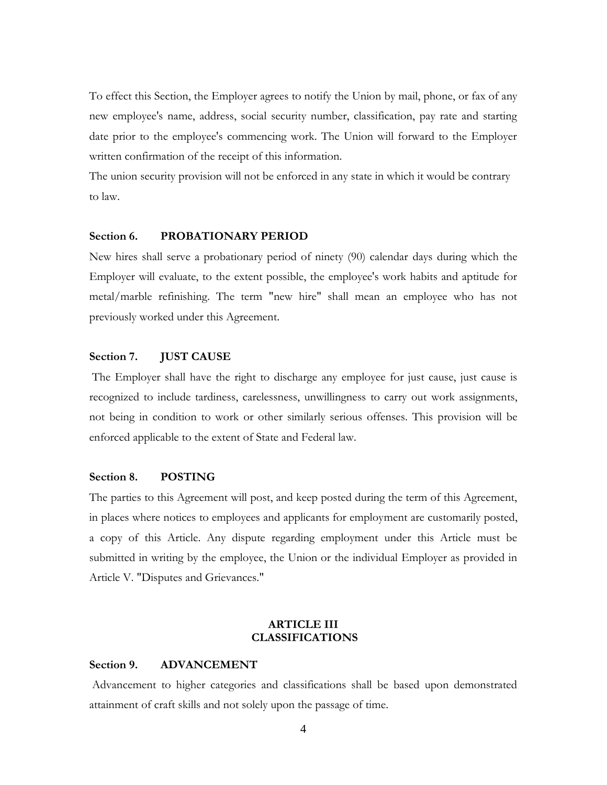To effect this Section, the Employer agrees to notify the Union by mail, phone, or fax of any new employee's name, address, social security number, classification, pay rate and starting date prior to the employee's commencing work. The Union will forward to the Employer written confirmation of the receipt of this information.

The union security provision will not be enforced in any state in which it would be contrary to law.

# **Section 6. PROBATIONARY PERIOD**

New hires shall serve a probationary period of ninety (90) calendar days during which the Employer will evaluate, to the extent possible, the employee's work habits and aptitude for metal/marble refinishing. The term "new hire" shall mean an employee who has not previously worked under this Agreement.

#### **Section 7. JUST CAUSE**

The Employer shall have the right to discharge any employee for just cause, just cause is recognized to include tardiness, carelessness, unwillingness to carry out work assignments, not being in condition to work or other similarly serious offenses. This provision will be enforced applicable to the extent of State and Federal law.

# **Section 8. POSTING**

The parties to this Agreement will post, and keep posted during the term of this Agreement, in places where notices to employees and applicants for employment are customarily posted, a copy of this Article. Any dispute regarding employment under this Article must be submitted in writing by the employee, the Union or the individual Employer as provided in Article V. "Disputes and Grievances."

# **ARTICLE III CLASSIFICATIONS**

# **Section 9. ADVANCEMENT**

Advancement to higher categories and classifications shall be based upon demonstrated attainment of craft skills and not solely upon the passage of time.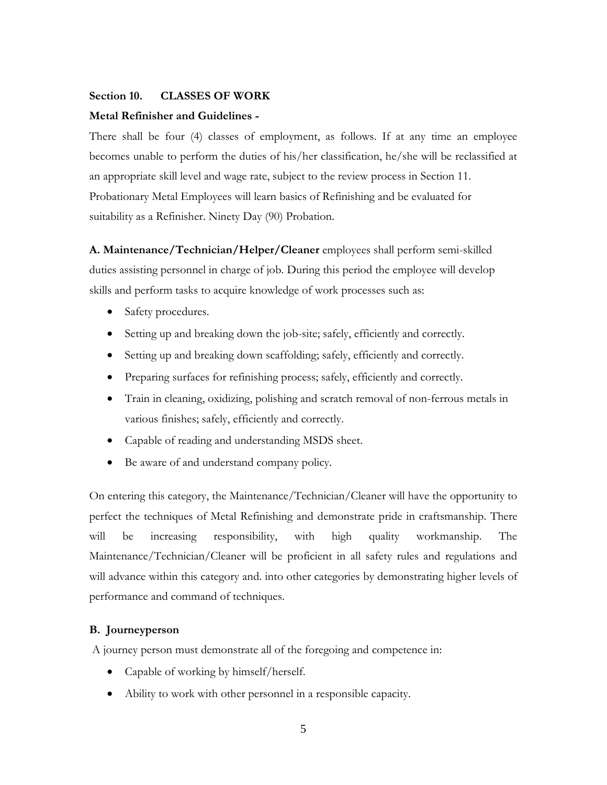#### **Section 10. CLASSES OF WORK**

#### **Metal Refinisher and Guidelines -**

There shall be four (4) classes of employment, as follows. If at any time an employee becomes unable to perform the duties of his/her classification, he/she will be reclassified at an appropriate skill level and wage rate, subject to the review process in Section 11. Probationary Metal Employees will learn basics of Refinishing and be evaluated for suitability as a Refinisher. Ninety Day (90) Probation.

**A. Maintenance/Technician/Helper/Cleaner** employees shall perform semi-skilled duties assisting personnel in charge of job. During this period the employee will develop skills and perform tasks to acquire knowledge of work processes such as:

- Safety procedures.
- Setting up and breaking down the job-site; safely, efficiently and correctly.
- Setting up and breaking down scaffolding; safely, efficiently and correctly.
- Preparing surfaces for refinishing process; safely, efficiently and correctly.
- Train in cleaning, oxidizing, polishing and scratch removal of non-ferrous metals in various finishes; safely, efficiently and correctly.
- Capable of reading and understanding MSDS sheet.
- Be aware of and understand company policy.

On entering this category, the Maintenance/Technician/Cleaner will have the opportunity to perfect the techniques of Metal Refinishing and demonstrate pride in craftsmanship. There will be increasing responsibility, with high quality workmanship. The Maintenance/Technician/Cleaner will be proficient in all safety rules and regulations and will advance within this category and. into other categories by demonstrating higher levels of performance and command of techniques.

#### **B. Journeyperson**

A journey person must demonstrate all of the foregoing and competence in:

- Capable of working by himself/herself.
- Ability to work with other personnel in a responsible capacity.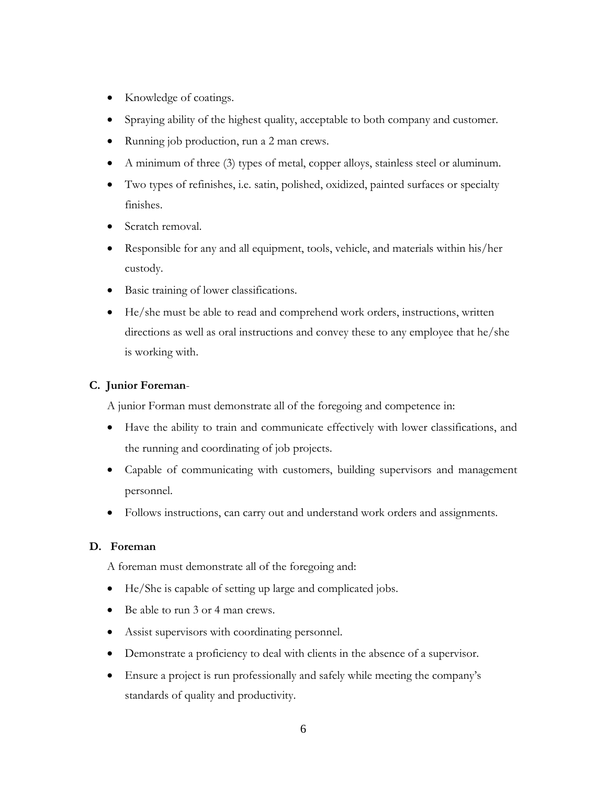- Knowledge of coatings.
- Spraying ability of the highest quality, acceptable to both company and customer.
- Running job production, run a 2 man crews.
- A minimum of three (3) types of metal, copper alloys, stainless steel or aluminum.
- Two types of refinishes, i.e. satin, polished, oxidized, painted surfaces or specialty finishes.
- Scratch removal.
- Responsible for any and all equipment, tools, vehicle, and materials within his/her custody.
- Basic training of lower classifications.
- He/she must be able to read and comprehend work orders, instructions, written directions as well as oral instructions and convey these to any employee that he/she is working with.

# **C. Junior Foreman**-

A junior Forman must demonstrate all of the foregoing and competence in:

- Have the ability to train and communicate effectively with lower classifications, and the running and coordinating of job projects.
- Capable of communicating with customers, building supervisors and management personnel.
- Follows instructions, can carry out and understand work orders and assignments.

# **D. Foreman**

A foreman must demonstrate all of the foregoing and:

- He/She is capable of setting up large and complicated jobs.
- Be able to run 3 or 4 man crews.
- Assist supervisors with coordinating personnel.
- Demonstrate a proficiency to deal with clients in the absence of a supervisor.
- Ensure a project is run professionally and safely while meeting the company's standards of quality and productivity.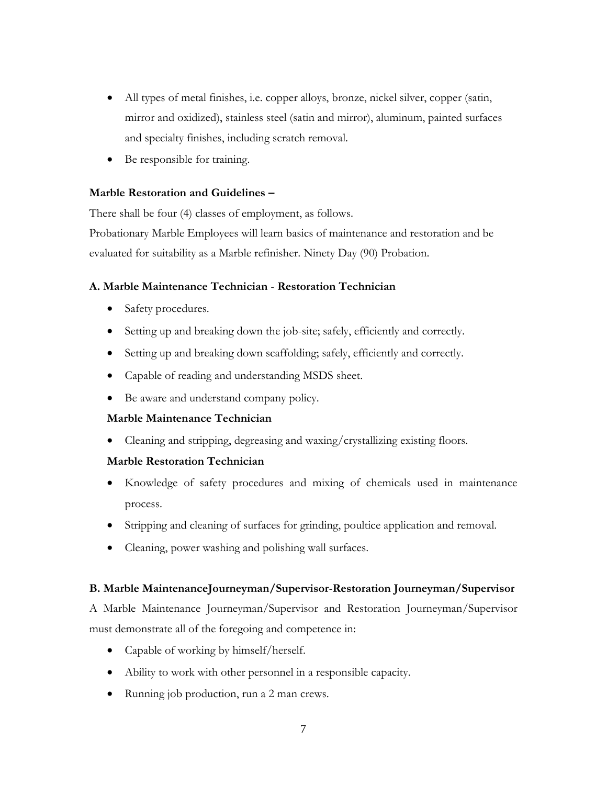- All types of metal finishes, i.e. copper alloys, bronze, nickel silver, copper (satin, mirror and oxidized), stainless steel (satin and mirror), aluminum, painted surfaces and specialty finishes, including scratch removal.
- Be responsible for training.

# **Marble Restoration and Guidelines –**

There shall be four (4) classes of employment, as follows.

Probationary Marble Employees will learn basics of maintenance and restoration and be evaluated for suitability as a Marble refinisher. Ninety Day (90) Probation.

# **A. Marble Maintenance Technician** - **Restoration Technician**

- Safety procedures.
- Setting up and breaking down the job-site; safely, efficiently and correctly.
- Setting up and breaking down scaffolding; safely, efficiently and correctly.
- Capable of reading and understanding MSDS sheet.
- Be aware and understand company policy.

# **Marble Maintenance Technician**

• Cleaning and stripping, degreasing and waxing/crystallizing existing floors.

# **Marble Restoration Technician**

- Knowledge of safety procedures and mixing of chemicals used in maintenance process.
- Stripping and cleaning of surfaces for grinding, poultice application and removal.
- Cleaning, power washing and polishing wall surfaces.

# **B. Marble MaintenanceJourneyman/Supervisor**-**Restoration Journeyman/Supervisor**

A Marble Maintenance Journeyman/Supervisor and Restoration Journeyman/Supervisor must demonstrate all of the foregoing and competence in:

- Capable of working by himself/herself.
- Ability to work with other personnel in a responsible capacity.
- Running job production, run a 2 man crews.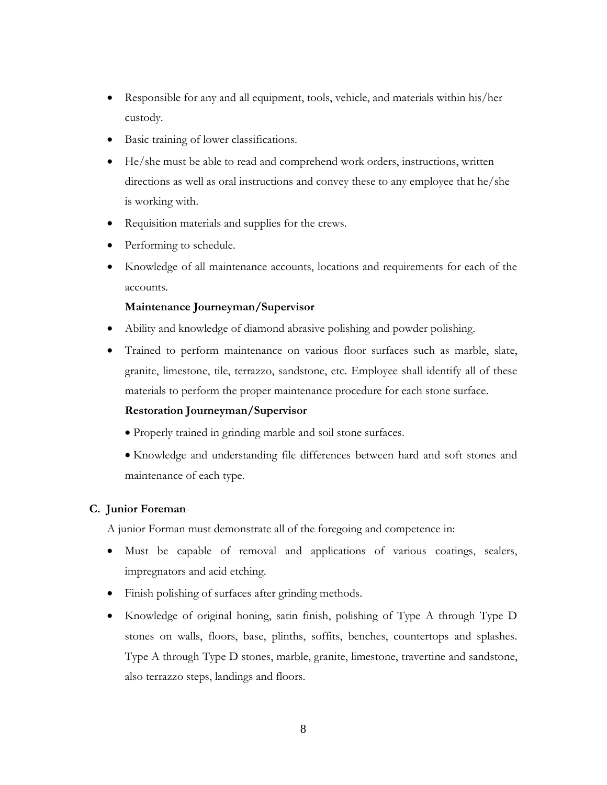- Responsible for any and all equipment, tools, vehicle, and materials within his/her custody.
- Basic training of lower classifications.
- He/she must be able to read and comprehend work orders, instructions, written directions as well as oral instructions and convey these to any employee that he/she is working with.
- Requisition materials and supplies for the crews.
- Performing to schedule.
- Knowledge of all maintenance accounts, locations and requirements for each of the accounts.

# **Maintenance Journeyman/Supervisor**

- Ability and knowledge of diamond abrasive polishing and powder polishing.
- Trained to perform maintenance on various floor surfaces such as marble, slate, granite, limestone, tile, terrazzo, sandstone, etc. Employee shall identify all of these materials to perform the proper maintenance procedure for each stone surface.

# **Restoration Journeyman/Supervisor**

- Properly trained in grinding marble and soil stone surfaces.
- Knowledge and understanding file differences between hard and soft stones and maintenance of each type.

# **C. Junior Foreman**-

A junior Forman must demonstrate all of the foregoing and competence in:

- Must be capable of removal and applications of various coatings, sealers, impregnators and acid etching.
- Finish polishing of surfaces after grinding methods.
- Knowledge of original honing, satin finish, polishing of Type A through Type D stones on walls, floors, base, plinths, soffits, benches, countertops and splashes. Type A through Type D stones, marble, granite, limestone, travertine and sandstone, also terrazzo steps, landings and floors.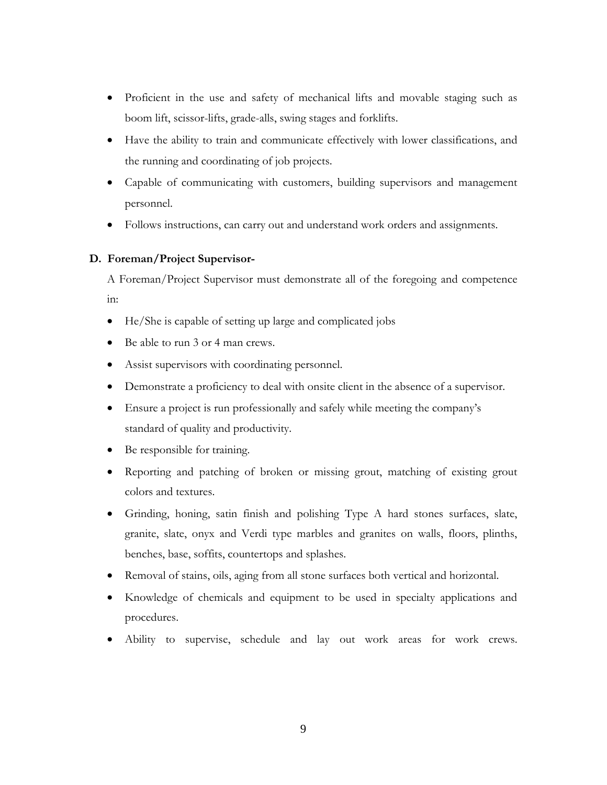- Proficient in the use and safety of mechanical lifts and movable staging such as boom lift, scissor-lifts, grade-alls, swing stages and forklifts.
- Have the ability to train and communicate effectively with lower classifications, and the running and coordinating of job projects.
- Capable of communicating with customers, building supervisors and management personnel.
- Follows instructions, can carry out and understand work orders and assignments.

# **D. Foreman/Project Supervisor-**

A Foreman/Project Supervisor must demonstrate all of the foregoing and competence in:

- He/She is capable of setting up large and complicated jobs
- Be able to run 3 or 4 man crews.
- Assist supervisors with coordinating personnel.
- Demonstrate a proficiency to deal with onsite client in the absence of a supervisor.
- Ensure a project is run professionally and safely while meeting the company's standard of quality and productivity.
- Be responsible for training.
- Reporting and patching of broken or missing grout, matching of existing grout colors and textures.
- Grinding, honing, satin finish and polishing Type A hard stones surfaces, slate, granite, slate, onyx and Verdi type marbles and granites on walls, floors, plinths, benches, base, soffits, countertops and splashes.
- Removal of stains, oils, aging from all stone surfaces both vertical and horizontal.
- Knowledge of chemicals and equipment to be used in specialty applications and procedures.
- Ability to supervise, schedule and lay out work areas for work crews.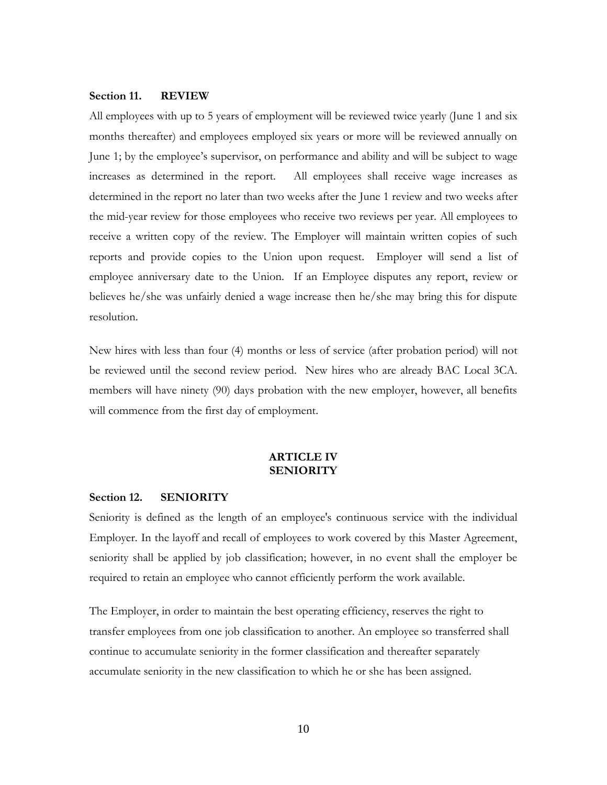#### **Section 11. REVIEW**

All employees with up to 5 years of employment will be reviewed twice yearly (June 1 and six months thereafter) and employees employed six years or more will be reviewed annually on June 1; by the employee's supervisor, on performance and ability and will be subject to wage increases as determined in the report. All employees shall receive wage increases as determined in the report no later than two weeks after the June 1 review and two weeks after the mid-year review for those employees who receive two reviews per year. All employees to receive a written copy of the review. The Employer will maintain written copies of such reports and provide copies to the Union upon request. Employer will send a list of employee anniversary date to the Union. If an Employee disputes any report, review or believes he/she was unfairly denied a wage increase then he/she may bring this for dispute resolution.

New hires with less than four (4) months or less of service (after probation period) will not be reviewed until the second review period. New hires who are already BAC Local 3CA. members will have ninety (90) days probation with the new employer, however, all benefits will commence from the first day of employment.

# **ARTICLE IV SENIORITY**

#### **Section 12. SENIORITY**

Seniority is defined as the length of an employee's continuous service with the individual Employer. In the layoff and recall of employees to work covered by this Master Agreement, seniority shall be applied by job classification; however, in no event shall the employer be required to retain an employee who cannot efficiently perform the work available.

The Employer, in order to maintain the best operating efficiency, reserves the right to transfer employees from one job classification to another. An employee so transferred shall continue to accumulate seniority in the former classification and thereafter separately accumulate seniority in the new classification to which he or she has been assigned.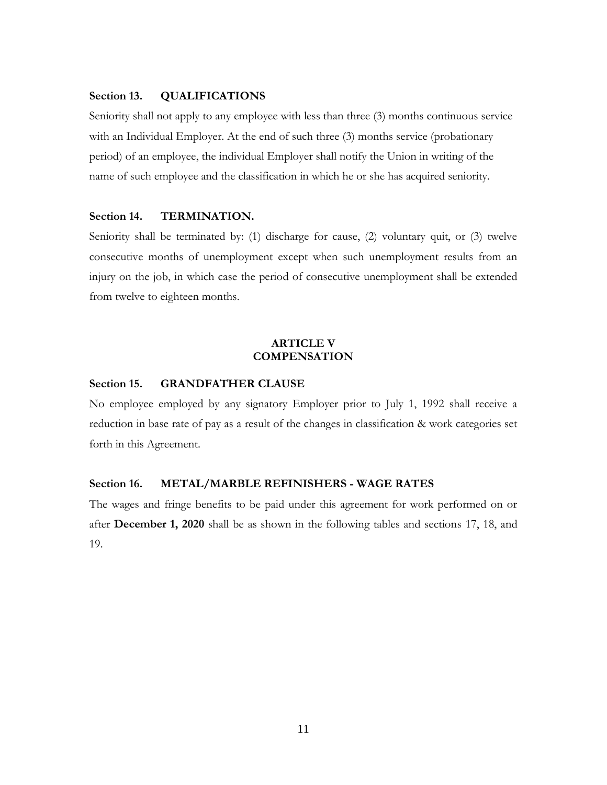# **Section 13. QUALIFICATIONS**

Seniority shall not apply to any employee with less than three (3) months continuous service with an Individual Employer. At the end of such three (3) months service (probationary period) of an employee, the individual Employer shall notify the Union in writing of the name of such employee and the classification in which he or she has acquired seniority.

## **Section 14. TERMINATION.**

Seniority shall be terminated by: (1) discharge for cause, (2) voluntary quit, or (3) twelve consecutive months of unemployment except when such unemployment results from an injury on the job, in which case the period of consecutive unemployment shall be extended from twelve to eighteen months.

# **ARTICLE V COMPENSATION**

### **Section 15. GRANDFATHER CLAUSE**

No employee employed by any signatory Employer prior to July 1, 1992 shall receive a reduction in base rate of pay as a result of the changes in classification & work categories set forth in this Agreement.

#### **Section 16. METAL/MARBLE REFINISHERS - WAGE RATES**

The wages and fringe benefits to be paid under this agreement for work performed on or after **December 1, 2020** shall be as shown in the following tables and sections 17, 18, and 19.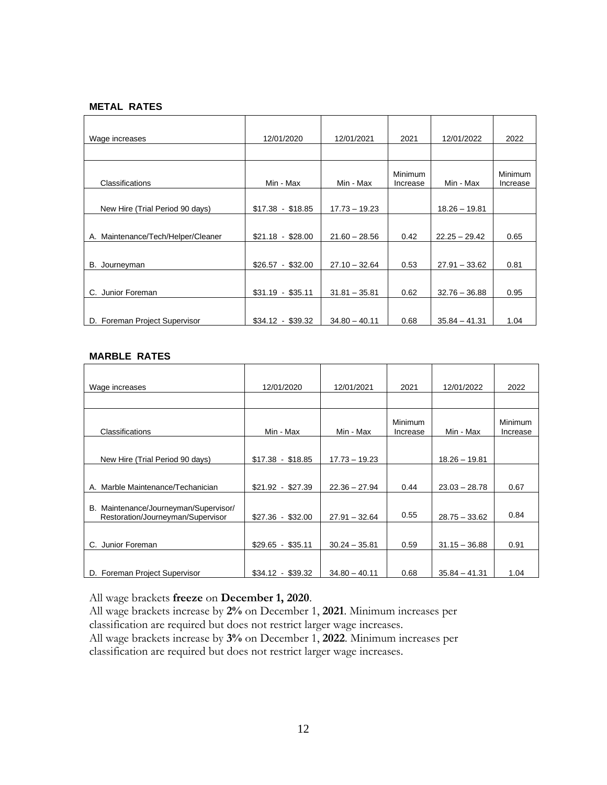# **METAL RATES**

| Wage increases                     | 12/01/2020        | 12/01/2021      | 2021                       | 12/01/2022      | 2022                |
|------------------------------------|-------------------|-----------------|----------------------------|-----------------|---------------------|
|                                    |                   |                 |                            |                 |                     |
| Classifications                    | Min - Max         | Min - Max       | <b>Minimum</b><br>Increase | Min - Max       | Minimum<br>Increase |
| New Hire (Trial Period 90 days)    | $$17.38 - $18.85$ | $17.73 - 19.23$ |                            | $18.26 - 19.81$ |                     |
| A. Maintenance/Tech/Helper/Cleaner | $$21.18 - $28.00$ | $21.60 - 28.56$ | 0.42                       | $22.25 - 29.42$ | 0.65                |
| B. Journeyman                      | $$26.57 - $32.00$ | $27.10 - 32.64$ | 0.53                       | $27.91 - 33.62$ | 0.81                |
| C. Junior Foreman                  | $$31.19 - $35.11$ | $31.81 - 35.81$ | 0.62                       | $32.76 - 36.88$ | 0.95                |
| D. Foreman Project Supervisor      | $$34.12 - $39.32$ | $34.80 - 40.11$ | 0.68                       | $35.84 - 41.31$ | 1.04                |

# **MARBLE RATES**

| Wage increases                                                             | 12/01/2020        | 12/01/2021      | 2021                       | 12/01/2022      | 2022                |
|----------------------------------------------------------------------------|-------------------|-----------------|----------------------------|-----------------|---------------------|
|                                                                            |                   |                 |                            |                 |                     |
| Classifications                                                            | Min - Max         | Min - Max       | <b>Minimum</b><br>Increase | Min - Max       | Minimum<br>Increase |
| New Hire (Trial Period 90 days)                                            | $$17.38 - $18.85$ | $17.73 - 19.23$ |                            | $18.26 - 19.81$ |                     |
| A. Marble Maintenance/Techanician                                          | $$21.92 - $27.39$ | $22.36 - 27.94$ | 0.44                       | $23.03 - 28.78$ | 0.67                |
| B. Maintenance/Journeyman/Supervisor/<br>Restoration/Journeyman/Supervisor | $$27.36 - $32.00$ | $27.91 - 32.64$ | 0.55                       | $28.75 - 33.62$ | 0.84                |
| C. Junior Foreman                                                          | $$29.65 - $35.11$ | $30.24 - 35.81$ | 0.59                       | $31.15 - 36.88$ | 0.91                |
| D. Foreman Project Supervisor                                              | $$34.12 - $39.32$ | $34.80 - 40.11$ | 0.68                       | $35.84 - 41.31$ | 1.04                |

All wage brackets **freeze** on **December 1, 2020**.

All wage brackets increase by **2%** on December 1, **2021**. Minimum increases per classification are required but does not restrict larger wage increases. All wage brackets increase by **3%** on December 1, **2022**. Minimum increases per classification are required but does not restrict larger wage increases.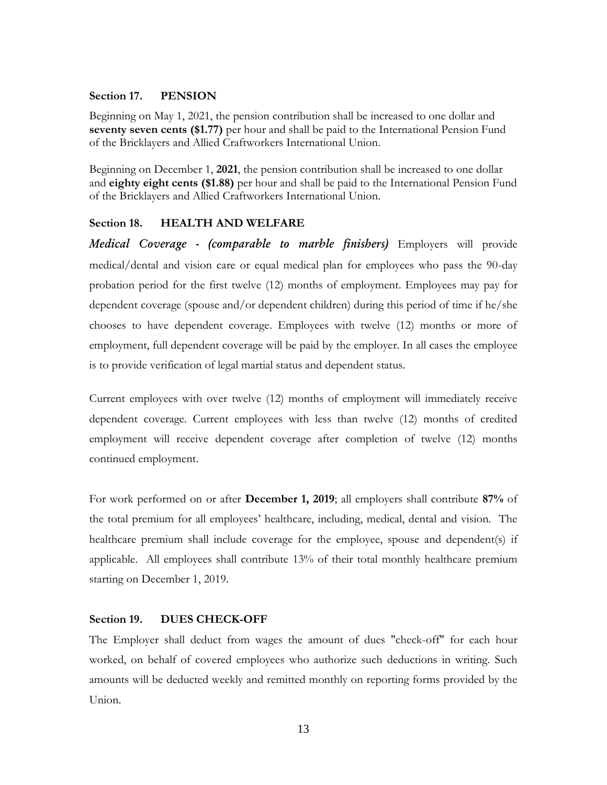#### **Section 17. PENSION**

Beginning on May 1, 2021, the pension contribution shall be increased to one dollar and **seventy seven cents (\$1.77)** per hour and shall be paid to the International Pension Fund of the Bricklayers and Allied Craftworkers International Union.

Beginning on December 1, **2021**, the pension contribution shall be increased to one dollar and **eighty eight cents (\$1.88)** per hour and shall be paid to the International Pension Fund of the Bricklayers and Allied Craftworkers International Union.

# **Section 18. HEALTH AND WELFARE**

*Medical Coverage - (comparable to marble finishers)* Employers will provide medical/dental and vision care or equal medical plan for employees who pass the 90-day probation period for the first twelve (12) months of employment. Employees may pay for dependent coverage (spouse and/or dependent children) during this period of time if he/she chooses to have dependent coverage. Employees with twelve (12) months or more of employment, full dependent coverage will be paid by the employer. In all cases the employee is to provide verification of legal martial status and dependent status.

Current employees with over twelve (12) months of employment will immediately receive dependent coverage. Current employees with less than twelve (12) months of credited employment will receive dependent coverage after completion of twelve (12) months continued employment.

For work performed on or after **December 1, 2019**; all employers shall contribute **87%** of the total premium for all employees' healthcare, including, medical, dental and vision. The healthcare premium shall include coverage for the employee, spouse and dependent(s) if applicable. All employees shall contribute 13% of their total monthly healthcare premium starting on December 1, 2019.

# **Section 19. DUES CHECK-OFF**

The Employer shall deduct from wages the amount of dues "check-off" for each hour worked, on behalf of covered employees who authorize such deductions in writing. Such amounts will be deducted weekly and remitted monthly on reporting forms provided by the Union.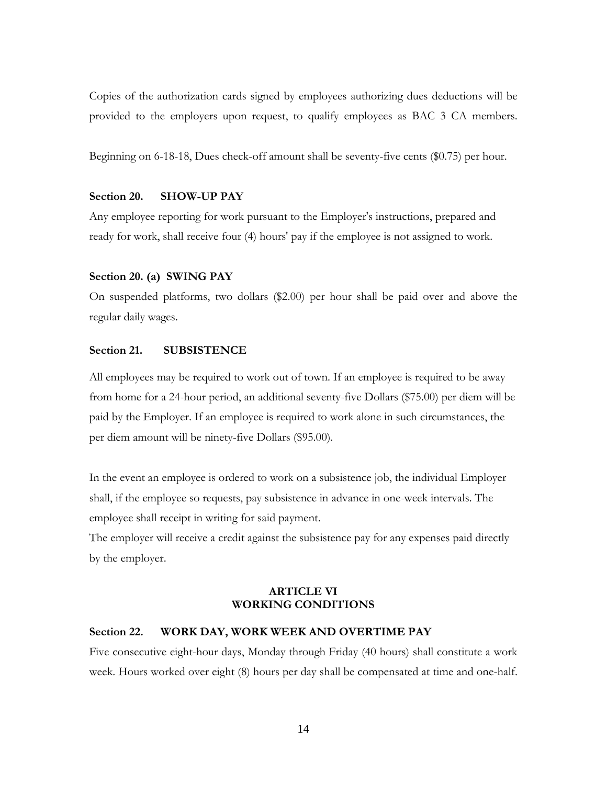Copies of the authorization cards signed by employees authorizing dues deductions will be provided to the employers upon request, to qualify employees as BAC 3 CA members.

Beginning on 6-18-18, Dues check-off amount shall be seventy-five cents (\$0.75) per hour.

# **Section 20. SHOW-UP PAY**

Any employee reporting for work pursuant to the Employer's instructions, prepared and ready for work, shall receive four (4) hours' pay if the employee is not assigned to work.

#### **Section 20. (a) SWING PAY**

On suspended platforms, two dollars (\$2.00) per hour shall be paid over and above the regular daily wages.

# **Section 21. SUBSISTENCE**

All employees may be required to work out of town. If an employee is required to be away from home for a 24-hour period, an additional seventy-five Dollars (\$75.00) per diem will be paid by the Employer. If an employee is required to work alone in such circumstances, the per diem amount will be ninety-five Dollars (\$95.00).

In the event an employee is ordered to work on a subsistence job, the individual Employer shall, if the employee so requests, pay subsistence in advance in one-week intervals. The employee shall receipt in writing for said payment.

The employer will receive a credit against the subsistence pay for any expenses paid directly by the employer.

# **ARTICLE VI WORKING CONDITIONS**

# **Section 22. WORK DAY, WORK WEEK AND OVERTIME PAY**

Five consecutive eight-hour days, Monday through Friday (40 hours) shall constitute a work week. Hours worked over eight (8) hours per day shall be compensated at time and one-half.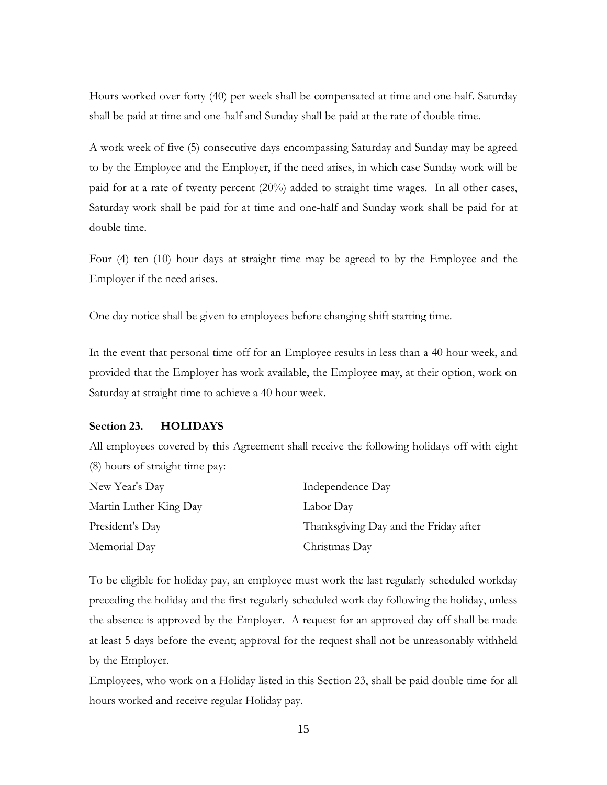Hours worked over forty (40) per week shall be compensated at time and one-half. Saturday shall be paid at time and one-half and Sunday shall be paid at the rate of double time.

A work week of five (5) consecutive days encompassing Saturday and Sunday may be agreed to by the Employee and the Employer, if the need arises, in which case Sunday work will be paid for at a rate of twenty percent (20%) added to straight time wages. In all other cases, Saturday work shall be paid for at time and one-half and Sunday work shall be paid for at double time.

Four (4) ten (10) hour days at straight time may be agreed to by the Employee and the Employer if the need arises.

One day notice shall be given to employees before changing shift starting time.

In the event that personal time off for an Employee results in less than a 40 hour week, and provided that the Employer has work available, the Employee may, at their option, work on Saturday at straight time to achieve a 40 hour week.

## **Section 23. HOLIDAYS**

All employees covered by this Agreement shall receive the following holidays off with eight (8) hours of straight time pay:

| New Year's Day         | Independence Day                      |
|------------------------|---------------------------------------|
| Martin Luther King Day | Labor Day                             |
| President's Day        | Thanksgiving Day and the Friday after |
| Memorial Day           | Christmas Day                         |

To be eligible for holiday pay, an employee must work the last regularly scheduled workday preceding the holiday and the first regularly scheduled work day following the holiday, unless the absence is approved by the Employer. A request for an approved day off shall be made at least 5 days before the event; approval for the request shall not be unreasonably withheld by the Employer.

Employees, who work on a Holiday listed in this Section 23, shall be paid double time for all hours worked and receive regular Holiday pay.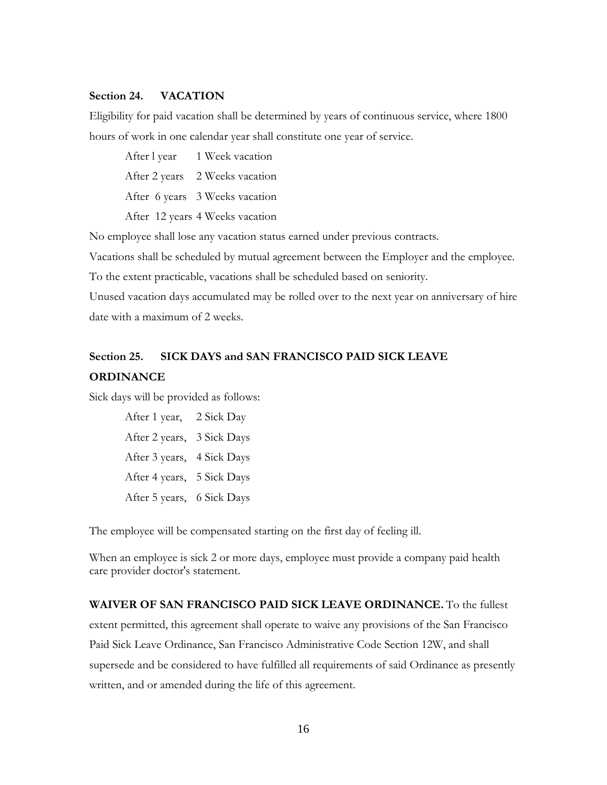# **Section 24. VACATION**

Eligibility for paid vacation shall be determined by years of continuous service, where 1800 hours of work in one calendar year shall constitute one year of service.

After l year 1 Week vacation After 2 years 2 Weeks vacation After 6 years 3 Weeks vacation After 12 years 4 Weeks vacation

No employee shall lose any vacation status earned under previous contracts*.*

Vacations shall be scheduled by mutual agreement between the Employer and the employee.

To the extent practicable, vacations shall be scheduled based on seniority.

Unused vacation days accumulated may be rolled over to the next year on anniversary of hire date with a maximum of 2 weeks.

# **Section 25. SICK DAYS and SAN FRANCISCO PAID SICK LEAVE ORDINANCE**

Sick days will be provided as follows:

After 1 year, 2 Sick Day After 2 years, 3 Sick Days After 3 years, 4 Sick Days After 4 years, 5 Sick Days After 5 years, 6 Sick Days

The employee will be compensated starting on the first day of feeling ill.

When an employee is sick 2 or more days, employee must provide a company paid health care provider doctor's statement.

**WAIVER OF SAN FRANCISCO PAID SICK LEAVE ORDINANCE.** To the fullest extent permitted, this agreement shall operate to waive any provisions of the San Francisco Paid Sick Leave Ordinance, San Francisco Administrative Code Section 12W, and shall supersede and be considered to have fulfilled all requirements of said Ordinance as presently written, and or amended during the life of this agreement.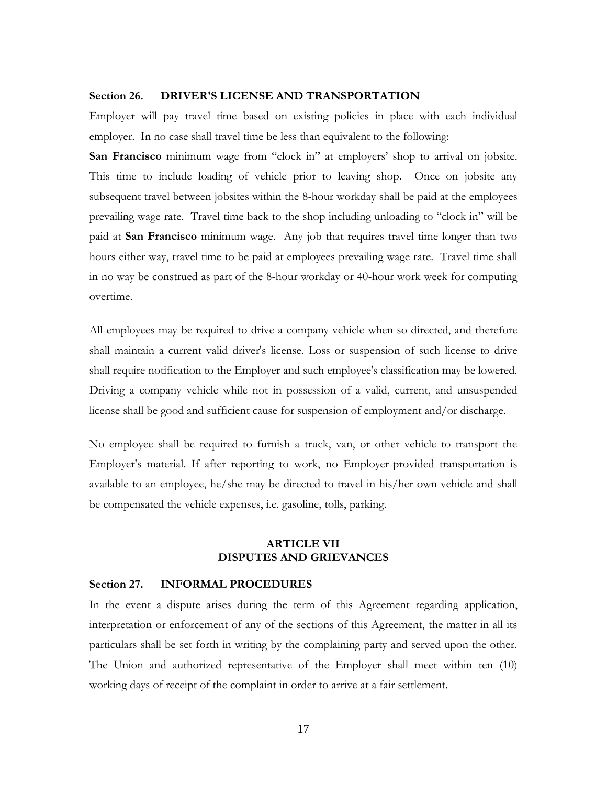# **Section 26. DRIVER'S LICENSE AND TRANSPORTATION**

Employer will pay travel time based on existing policies in place with each individual employer. In no case shall travel time be less than equivalent to the following:

**San Francisco** minimum wage from "clock in" at employers' shop to arrival on jobsite. This time to include loading of vehicle prior to leaving shop. Once on jobsite any subsequent travel between jobsites within the 8-hour workday shall be paid at the employees prevailing wage rate. Travel time back to the shop including unloading to "clock in" will be paid at **San Francisco** minimum wage.Any job that requires travel time longer than two hours either way, travel time to be paid at employees prevailing wage rate. Travel time shall in no way be construed as part of the 8-hour workday or 40-hour work week for computing overtime.

All employees may be required to drive a company vehicle when so directed, and therefore shall maintain a current valid driver's license. Loss or suspension of such license to drive shall require notification to the Employer and such employee's classification may be lowered. Driving a company vehicle while not in possession of a valid, current, and unsuspended license shall be good and sufficient cause for suspension of employment and/or discharge.

No employee shall be required to furnish a truck, van, or other vehicle to transport the Employer's material. If after reporting to work, no Employer-provided transportation is available to an employee, he/she may be directed to travel in his/her own vehicle and shall be compensated the vehicle expenses, i.e. gasoline, tolls, parking.

# **ARTICLE VII DISPUTES AND GRIEVANCES**

#### **Section 27. INFORMAL PROCEDURES**

In the event a dispute arises during the term of this Agreement regarding application, interpretation or enforcement of any of the sections of this Agreement, the matter in all its particulars shall be set forth in writing by the complaining party and served upon the other. The Union and authorized representative of the Employer shall meet within ten (10) working days of receipt of the complaint in order to arrive at a fair settlement.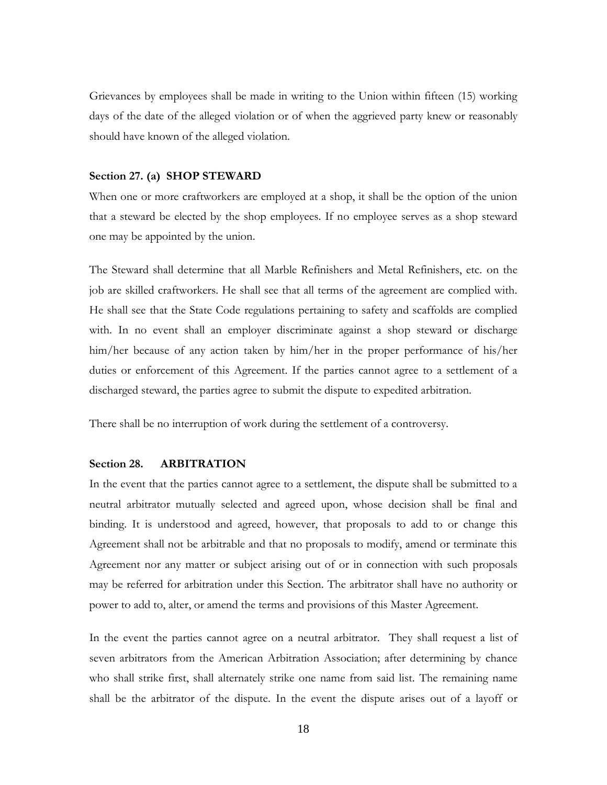Grievances by employees shall be made in writing to the Union within fifteen (15) working days of the date of the alleged violation or of when the aggrieved party knew or reasonably should have known of the alleged violation.

#### **Section 27. (a) SHOP STEWARD**

When one or more craftworkers are employed at a shop, it shall be the option of the union that a steward be elected by the shop employees. If no employee serves as a shop steward one may be appointed by the union.

The Steward shall determine that all Marble Refinishers and Metal Refinishers, etc. on the job are skilled craftworkers. He shall see that all terms of the agreement are complied with. He shall see that the State Code regulations pertaining to safety and scaffolds are complied with. In no event shall an employer discriminate against a shop steward or discharge him/her because of any action taken by him/her in the proper performance of his/her duties or enforcement of this Agreement. If the parties cannot agree to a settlement of a discharged steward, the parties agree to submit the dispute to expedited arbitration.

There shall be no interruption of work during the settlement of a controversy.

# **Section 28. ARBITRATION**

In the event that the parties cannot agree to a settlement, the dispute shall be submitted to a neutral arbitrator mutually selected and agreed upon, whose decision shall be final and binding. It is understood and agreed, however, that proposals to add to or change this Agreement shall not be arbitrable and that no proposals to modify, amend or terminate this Agreement nor any matter or subject arising out of or in connection with such proposals may be referred for arbitration under this Section. The arbitrator shall have no authority or power to add to, alter, or amend the terms and provisions of this Master Agreement.

In the event the parties cannot agree on a neutral arbitrator. They shall request a list of seven arbitrators from the American Arbitration Association; after determining by chance who shall strike first, shall alternately strike one name from said list. The remaining name shall be the arbitrator of the dispute. In the event the dispute arises out of a layoff or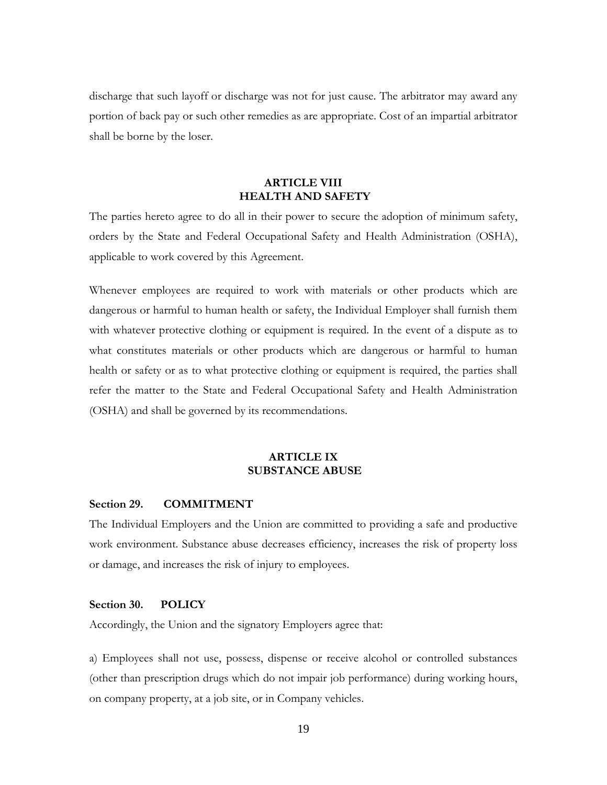discharge that such layoff or discharge was not for just cause. The arbitrator may award any portion of back pay or such other remedies as are appropriate. Cost of an impartial arbitrator shall be borne by the loser.

# **ARTICLE VIII HEALTH AND SAFETY**

The parties hereto agree to do all in their power to secure the adoption of minimum safety, orders by the State and Federal Occupational Safety and Health Administration (OSHA), applicable to work covered by this Agreement.

Whenever employees are required to work with materials or other products which are dangerous or harmful to human health or safety, the Individual Employer shall furnish them with whatever protective clothing or equipment is required. In the event of a dispute as to what constitutes materials or other products which are dangerous or harmful to human health or safety or as to what protective clothing or equipment is required, the parties shall refer the matter to the State and Federal Occupational Safety and Health Administration (OSHA) and shall be governed by its recommendations.

# **ARTICLE IX SUBSTANCE ABUSE**

# **Section 29. COMMITMENT**

The Individual Employers and the Union are committed to providing a safe and productive work environment. Substance abuse decreases efficiency, increases the risk of property loss or damage, and increases the risk of injury to employees.

# **Section 30. POLICY**

Accordingly, the Union and the signatory Employers agree that:

a) Employees shall not use, possess, dispense or receive alcohol or controlled substances (other than prescription drugs which do not impair job performance) during working hours, on company property, at a job site, or in Company vehicles.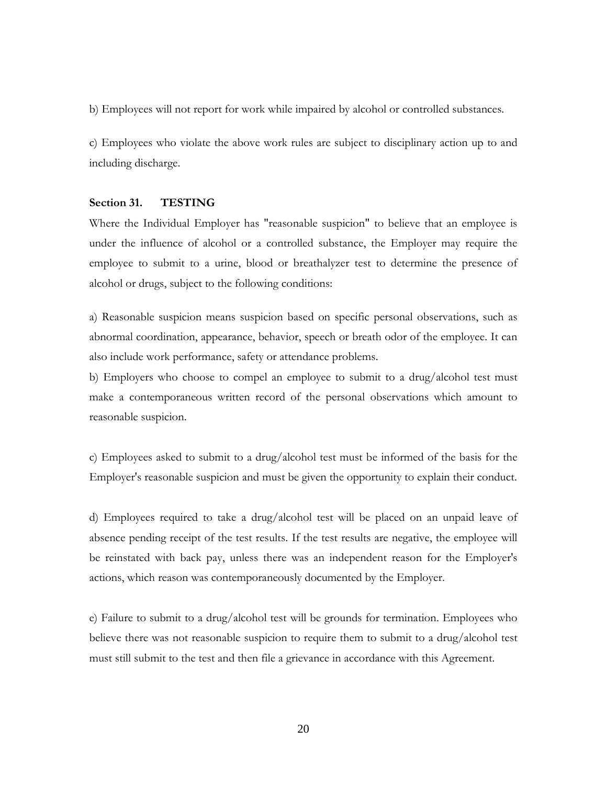b) Employees will not report for work while impaired by alcohol or controlled substances.

c) Employees who violate the above work rules are subject to disciplinary action up to and including discharge.

## **Section 31. TESTING**

Where the Individual Employer has "reasonable suspicion" to believe that an employee is under the influence of alcohol or a controlled substance, the Employer may require the employee to submit to a urine, blood or breathalyzer test to determine the presence of alcohol or drugs, subject to the following conditions:

a) Reasonable suspicion means suspicion based on specific personal observations, such as abnormal coordination, appearance, behavior, speech or breath odor of the employee. It can also include work performance, safety or attendance problems.

b) Employers who choose to compel an employee to submit to a drug/alcohol test must make a contemporaneous written record of the personal observations which amount to reasonable suspicion.

c) Employees asked to submit to a drug/alcohol test must be informed of the basis for the Employer's reasonable suspicion and must be given the opportunity to explain their conduct.

d) Employees required to take a drug/alcohol test will be placed on an unpaid leave of absence pending receipt of the test results. If the test results are negative, the employee will be reinstated with back pay, unless there was an independent reason for the Employer's actions, which reason was contemporaneously documented by the Employer.

e) Failure to submit to a drug/alcohol test will be grounds for termination. Employees who believe there was not reasonable suspicion to require them to submit to a drug/alcohol test must still submit to the test and then file a grievance in accordance with this Agreement.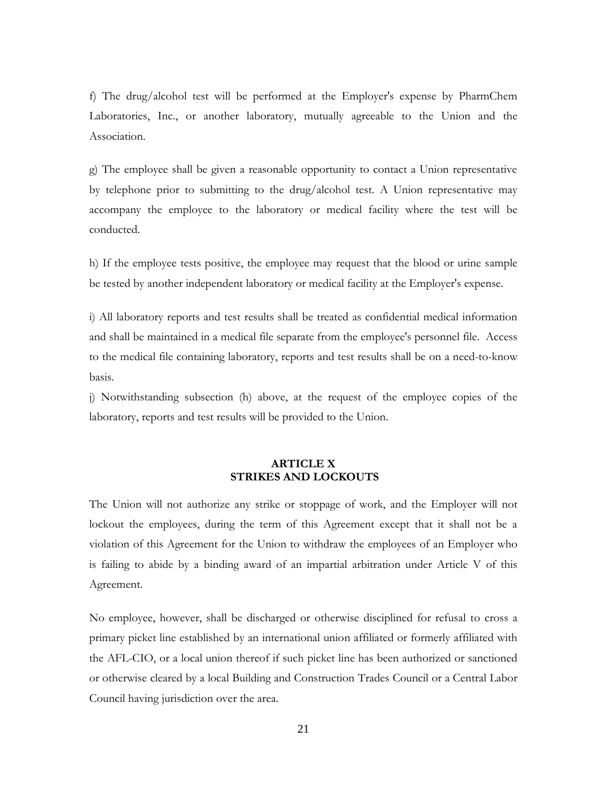f) The drug/alcohol test will be performed at the Employer's expense by PharmChem Laboratories, Inc., or another laboratory, mutually agreeable to the Union and the Association.

g) The employee shall be given a reasonable opportunity to contact a Union representative by telephone prior to submitting to the drug/alcohol test. A Union representative may accompany the employee to the laboratory or medical facility where the test will be conducted.

h) If the employee tests positive, the employee may request that the blood or urine sample be tested by another independent laboratory or medical facility at the Employer's expense.

i) All laboratory reports and test results shall be treated as confidential medical information and shall be maintained in a medical file separate from the employee's personnel file. Access to the medical file containing laboratory, reports and test results shall be on a need-to-know basis.

j) Notwithstanding subsection (h) above, at the request of the employee copies of the laboratory, reports and test results will be provided to the Union.

# **ARTICLE X STRIKES AND LOCKOUTS**

The Union will not authorize any strike or stoppage of work, and the Employer will not lockout the employees, during the term of this Agreement except that it shall not be a violation of this Agreement for the Union to withdraw the employees of an Employer who is failing to abide by a binding award of an impartial arbitration under Article V of this Agreement.

No employee, however, shall be discharged or otherwise disciplined for refusal to cross a primary picket line established by an international union affiliated or formerly affiliated with the AFL-CIO, or a local union thereof if such picket line has been authorized or sanctioned or otherwise cleared by a local Building and Construction Trades Council or a Central Labor Council having jurisdiction over the area.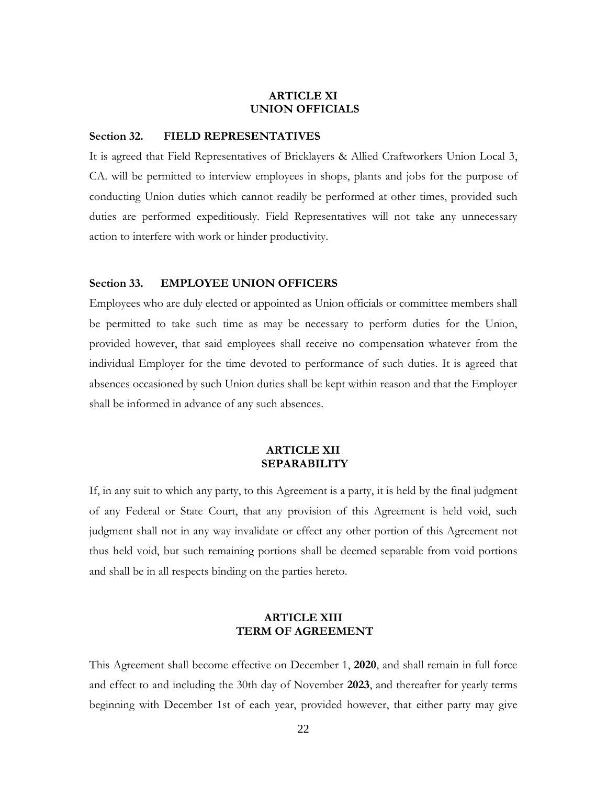# **ARTICLE XI UNION OFFICIALS**

#### **Section 32. FIELD REPRESENTATIVES**

It is agreed that Field Representatives of Bricklayers & Allied Craftworkers Union Local 3, CA. will be permitted to interview employees in shops, plants and jobs for the purpose of conducting Union duties which cannot readily be performed at other times, provided such duties are performed expeditiously. Field Representatives will not take any unnecessary action to interfere with work or hinder productivity.

#### **Section 33. EMPLOYEE UNION OFFICERS**

Employees who are duly elected or appointed as Union officials or committee members shall be permitted to take such time as may be necessary to perform duties for the Union, provided however, that said employees shall receive no compensation whatever from the individual Employer for the time devoted to performance of such duties. It is agreed that absences occasioned by such Union duties shall be kept within reason and that the Employer shall be informed in advance of any such absences.

## **ARTICLE XII SEPARABILITY**

If, in any suit to which any party, to this Agreement is a party, it is held by the final judgment of any Federal or State Court, that any provision of this Agreement is held void, such judgment shall not in any way invalidate or effect any other portion of this Agreement not thus held void, but such remaining portions shall be deemed separable from void portions and shall be in all respects binding on the parties hereto.

# **ARTICLE XIII TERM OF AGREEMENT**

This Agreement shall become effective on December 1, **2020**, and shall remain in full force and effect to and including the 30th day of November **2023**, and thereafter for yearly terms beginning with December 1st of each year, provided however, that either party may give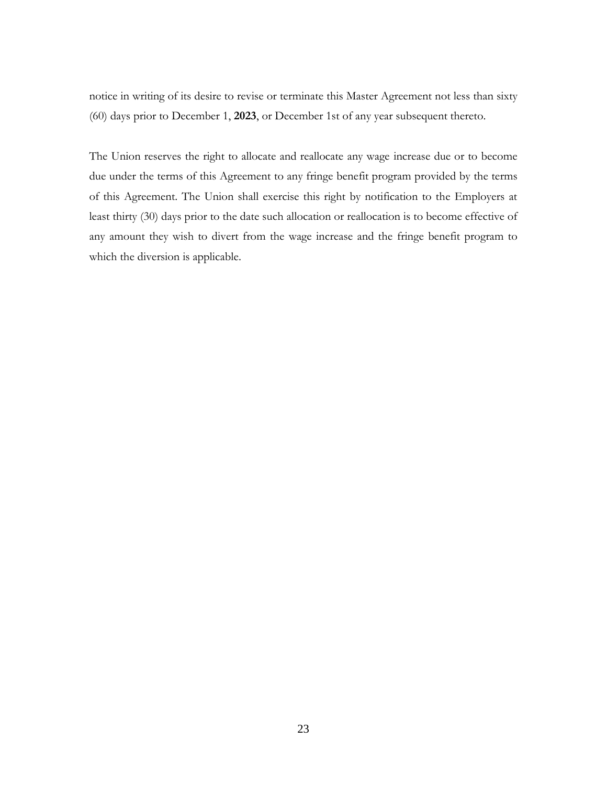notice in writing of its desire to revise or terminate this Master Agreement not less than sixty (60) days prior to December 1, **2023**, or December 1st of any year subsequent thereto.

The Union reserves the right to allocate and reallocate any wage increase due or to become due under the terms of this Agreement to any fringe benefit program provided by the terms of this Agreement. The Union shall exercise this right by notification to the Employers at least thirty (30) days prior to the date such allocation or reallocation is to become effective of any amount they wish to divert from the wage increase and the fringe benefit program to which the diversion is applicable.